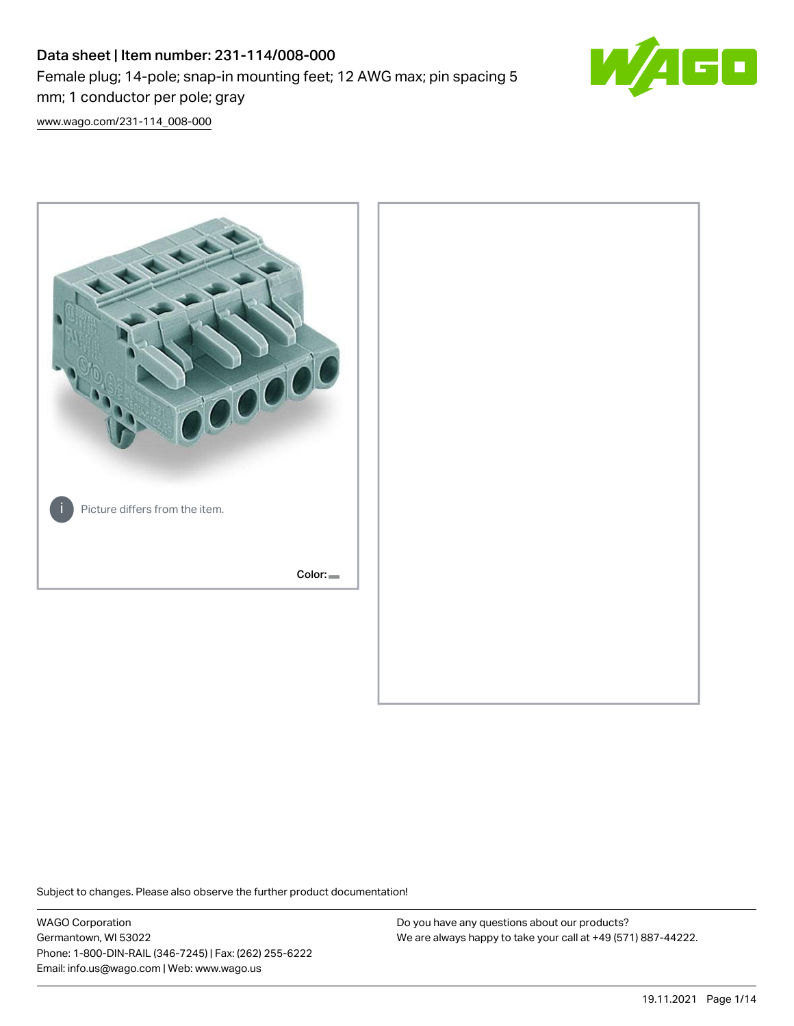# Data sheet | Item number: 231-114/008-000 Female plug; 14-pole; snap-in mounting feet; 12 AWG max; pin spacing 5 mm; 1 conductor per pole; gray



[www.wago.com/231-114\\_008-000](http://www.wago.com/231-114_008-000)



Subject to changes. Please also observe the further product documentation!

WAGO Corporation Germantown, WI 53022 Phone: 1-800-DIN-RAIL (346-7245) | Fax: (262) 255-6222 Email: info.us@wago.com | Web: www.wago.us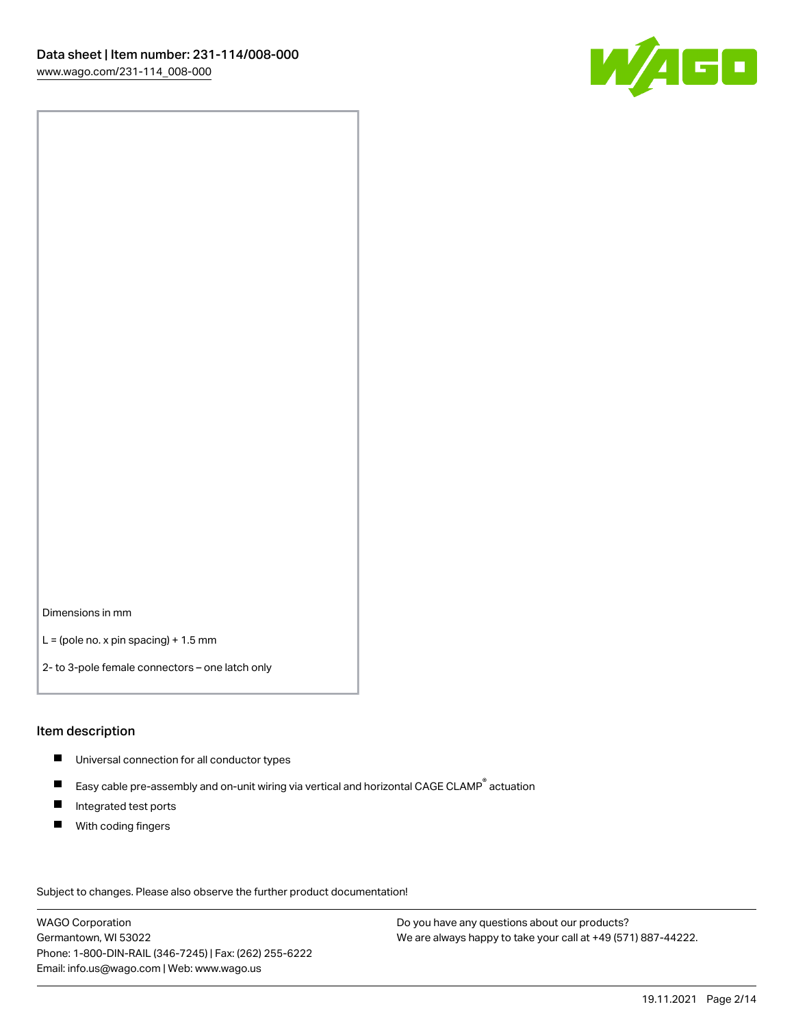

Dimensions in mm

 $L =$  (pole no. x pin spacing) + 1.5 mm

2- to 3-pole female connectors – one latch only

#### Item description

- **Universal connection for all conductor types**
- Easy cable pre-assembly and on-unit wiring via vertical and horizontal CAGE CLAMP<sup>®</sup> actuation  $\blacksquare$
- $\blacksquare$ Integrated test ports
- $\blacksquare$ With coding fingers

Subject to changes. Please also observe the further product documentation! Data

WAGO Corporation Germantown, WI 53022 Phone: 1-800-DIN-RAIL (346-7245) | Fax: (262) 255-6222 Email: info.us@wago.com | Web: www.wago.us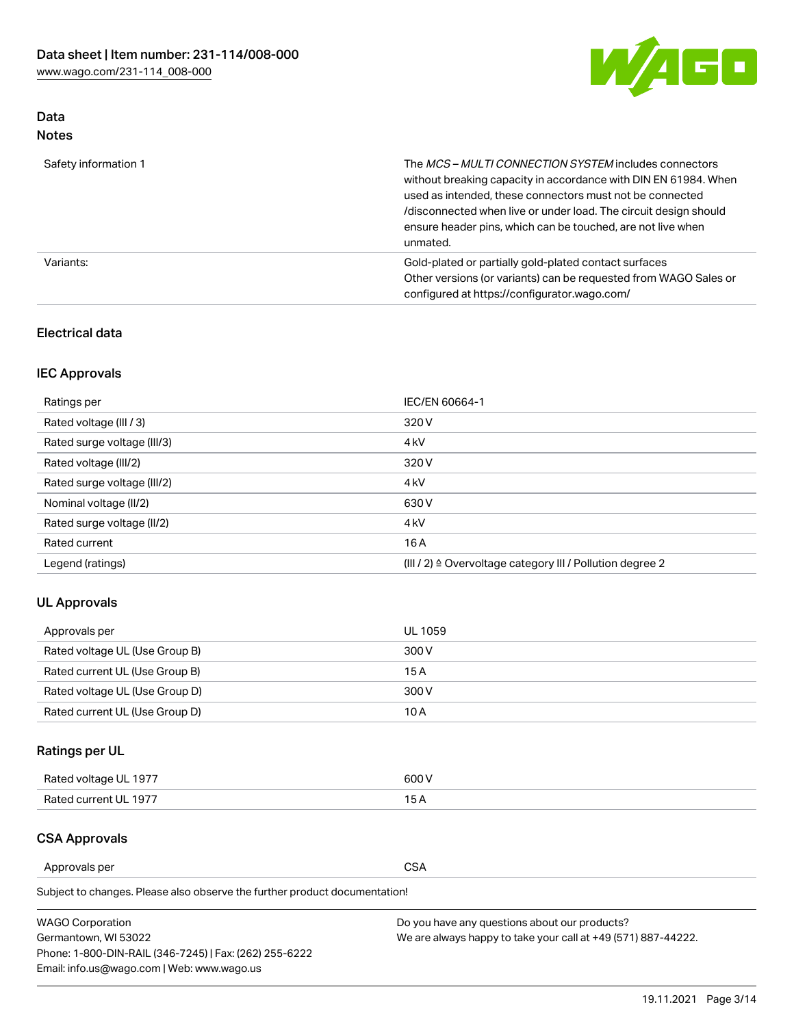

### Data Notes

| Safety information 1 | The MCS-MULTI CONNECTION SYSTEM includes connectors<br>without breaking capacity in accordance with DIN EN 61984. When<br>used as intended, these connectors must not be connected<br>/disconnected when live or under load. The circuit design should<br>ensure header pins, which can be touched, are not live when<br>unmated. |
|----------------------|-----------------------------------------------------------------------------------------------------------------------------------------------------------------------------------------------------------------------------------------------------------------------------------------------------------------------------------|
| Variants:            | Gold-plated or partially gold-plated contact surfaces<br>Other versions (or variants) can be requested from WAGO Sales or<br>configured at https://configurator.wago.com/                                                                                                                                                         |

### Electrical data

### IEC Approvals

| Ratings per                 | IEC/EN 60664-1                                                        |
|-----------------------------|-----------------------------------------------------------------------|
| Rated voltage (III / 3)     | 320 V                                                                 |
| Rated surge voltage (III/3) | 4 <sub>k</sub> V                                                      |
| Rated voltage (III/2)       | 320 V                                                                 |
| Rated surge voltage (III/2) | 4 <sub>k</sub> V                                                      |
| Nominal voltage (II/2)      | 630 V                                                                 |
| Rated surge voltage (II/2)  | 4 <sub>k</sub> V                                                      |
| Rated current               | 16A                                                                   |
| Legend (ratings)            | $(III / 2)$ $\triangle$ Overvoltage category III / Pollution degree 2 |

### UL Approvals

| Approvals per                  | UL 1059 |
|--------------------------------|---------|
| Rated voltage UL (Use Group B) | 300 V   |
| Rated current UL (Use Group B) | 15 A    |
| Rated voltage UL (Use Group D) | 300 V   |
| Rated current UL (Use Group D) | 10 A    |

# Ratings per UL

| Rated voltage UL 1977 | 600 V         |
|-----------------------|---------------|
| Rated current UL 1977 | $\sim$ $\sim$ |

### CSA Approvals

Approvals per CSA

Subject to changes. Please also observe the further product documentation!

| <b>WAGO Corporation</b>                                | Do you have any questions about our products?                 |
|--------------------------------------------------------|---------------------------------------------------------------|
| Germantown, WI 53022                                   | We are always happy to take your call at +49 (571) 887-44222. |
| Phone: 1-800-DIN-RAIL (346-7245)   Fax: (262) 255-6222 |                                                               |
| Email: info.us@wago.com   Web: www.wago.us             |                                                               |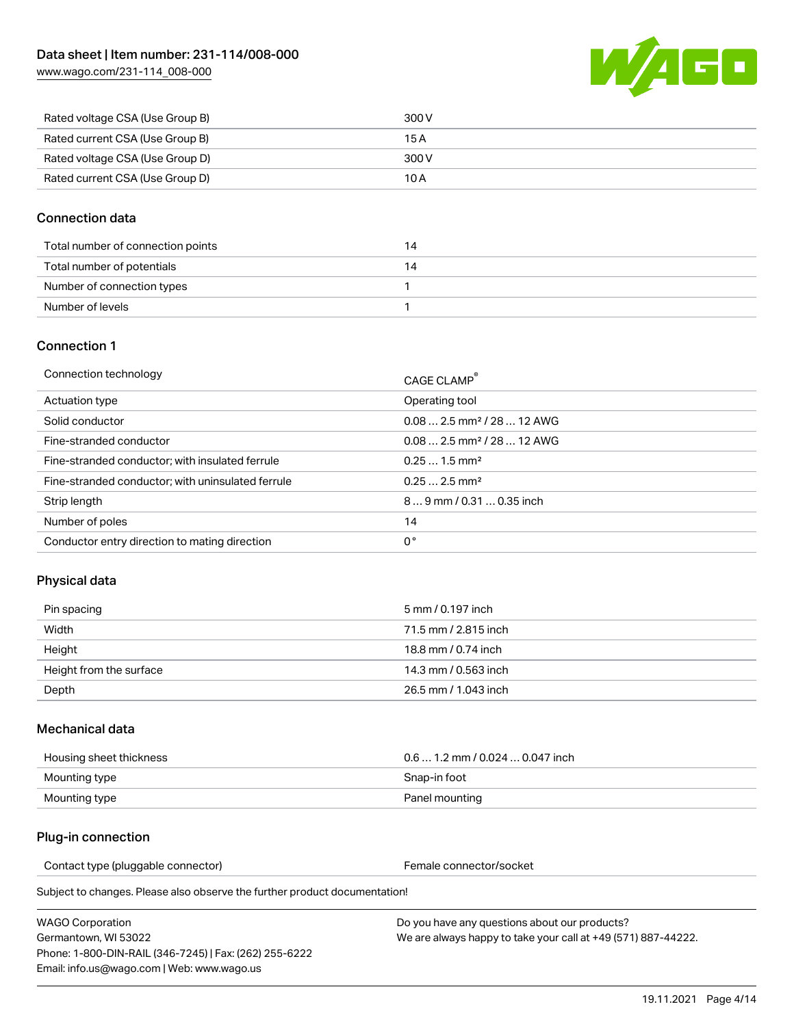[www.wago.com/231-114\\_008-000](http://www.wago.com/231-114_008-000)



| Rated voltage CSA (Use Group B) | 300 V |
|---------------------------------|-------|
| Rated current CSA (Use Group B) | 15 A  |
| Rated voltage CSA (Use Group D) | 300 V |
| Rated current CSA (Use Group D) | 10 A  |

#### Connection data

| Total number of connection points |  |
|-----------------------------------|--|
| Total number of potentials        |  |
| Number of connection types        |  |
| Number of levels                  |  |

#### Connection 1

| Connection technology                             | CAGE CLAMP®                             |
|---------------------------------------------------|-----------------------------------------|
| Actuation type                                    | Operating tool                          |
| Solid conductor                                   | $0.082.5$ mm <sup>2</sup> / 28  12 AWG  |
| Fine-stranded conductor                           | $0.08$ 2.5 mm <sup>2</sup> / 28  12 AWG |
| Fine-stranded conductor; with insulated ferrule   | $0.251.5$ mm <sup>2</sup>               |
| Fine-stranded conductor; with uninsulated ferrule | $0.252.5$ mm <sup>2</sup>               |
| Strip length                                      | $89$ mm $/ 0.310.35$ inch               |
| Number of poles                                   | 14                                      |
| Conductor entry direction to mating direction     | 0°                                      |

### Physical data

| Pin spacing             | 5 mm / 0.197 inch    |
|-------------------------|----------------------|
| Width                   | 71.5 mm / 2.815 inch |
| Height                  | 18.8 mm / 0.74 inch  |
| Height from the surface | 14.3 mm / 0.563 inch |
| Depth                   | 26.5 mm / 1.043 inch |

#### Mechanical data

| Housing sheet thickness | $0.61.2$ mm / 0.024  0.047 inch |
|-------------------------|---------------------------------|
| Mounting type           | Snap-in foot                    |
| Mounting type           | Panel mounting                  |

### Plug-in connection

Contact type (pluggable connector) example a set of the Female connector/socket

Subject to changes. Please also observe the further product documentation!

| WAGO Corporation                                       |  |
|--------------------------------------------------------|--|
| Germantown. WI 53022                                   |  |
| Phone: 1-800-DIN-RAIL (346-7245)   Fax: (262) 255-6222 |  |
| Email: info.us@wago.com   Web: www.wago.us             |  |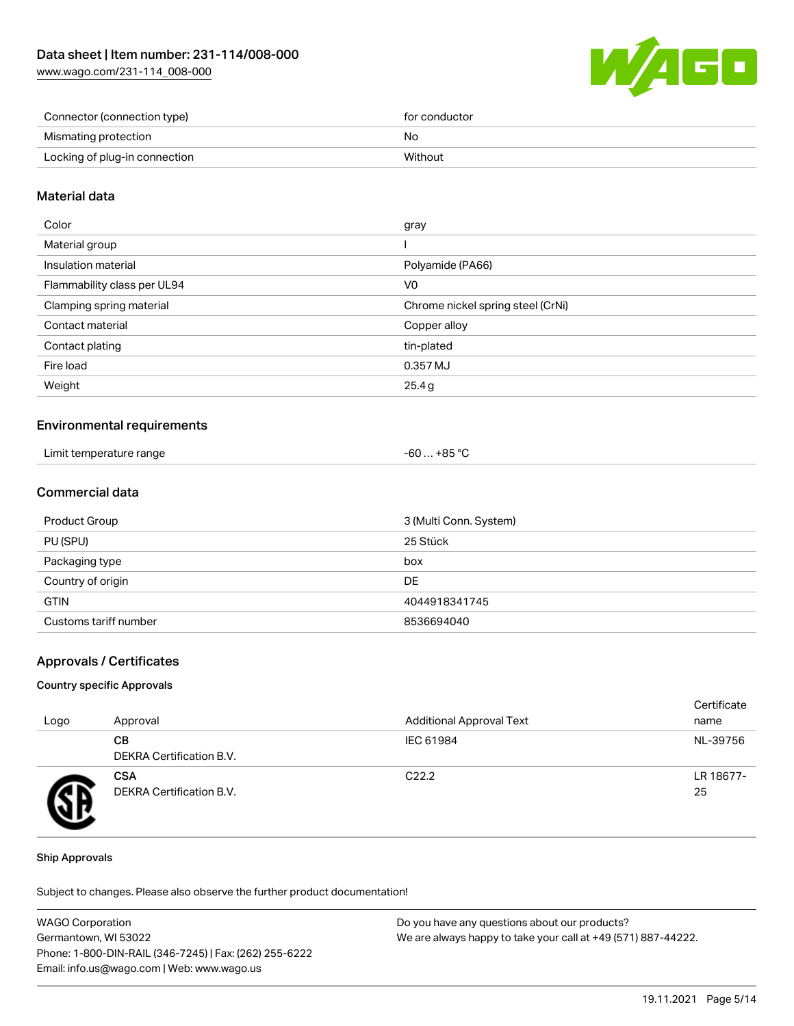[www.wago.com/231-114\\_008-000](http://www.wago.com/231-114_008-000)



| Connector (connection type)   | for conductor |
|-------------------------------|---------------|
| Mismating protection          | No            |
| Locking of plug-in connection | Without       |

### Material data

| Color                       | gray                              |
|-----------------------------|-----------------------------------|
| Material group              |                                   |
| Insulation material         | Polyamide (PA66)                  |
| Flammability class per UL94 | V <sub>0</sub>                    |
| Clamping spring material    | Chrome nickel spring steel (CrNi) |
| Contact material            | Copper alloy                      |
| Contact plating             | tin-plated                        |
| Fire load                   | 0.357 MJ                          |
| Weight                      | 25.4g                             |
|                             |                                   |

#### Environmental requirements

| Limit temperature range | … +85 ° <sup>∩</sup><br>-60 |
|-------------------------|-----------------------------|
|-------------------------|-----------------------------|

### Commercial data

| Product Group         | 3 (Multi Conn. System) |
|-----------------------|------------------------|
| PU (SPU)              | 25 Stück               |
| Packaging type        | box                    |
| Country of origin     | DE                     |
| <b>GTIN</b>           | 4044918341745          |
| Customs tariff number | 8536694040             |

#### Approvals / Certificates

#### Country specific Approvals

| Logo | Approval                               | <b>Additional Approval Text</b> | Certificate<br>name |
|------|----------------------------------------|---------------------------------|---------------------|
|      | CВ<br>DEKRA Certification B.V.         | IEC 61984                       | NL-39756            |
|      | <b>CSA</b><br>DEKRA Certification B.V. | C <sub>22.2</sub>               | LR 18677-<br>25     |

#### Ship Approvals

Subject to changes. Please also observe the further product documentation!

| <b>WAGO Corporation</b>                                | Do you have any questions about our products?                 |
|--------------------------------------------------------|---------------------------------------------------------------|
| Germantown, WI 53022                                   | We are always happy to take your call at +49 (571) 887-44222. |
| Phone: 1-800-DIN-RAIL (346-7245)   Fax: (262) 255-6222 |                                                               |
| Email: info.us@wago.com   Web: www.wago.us             |                                                               |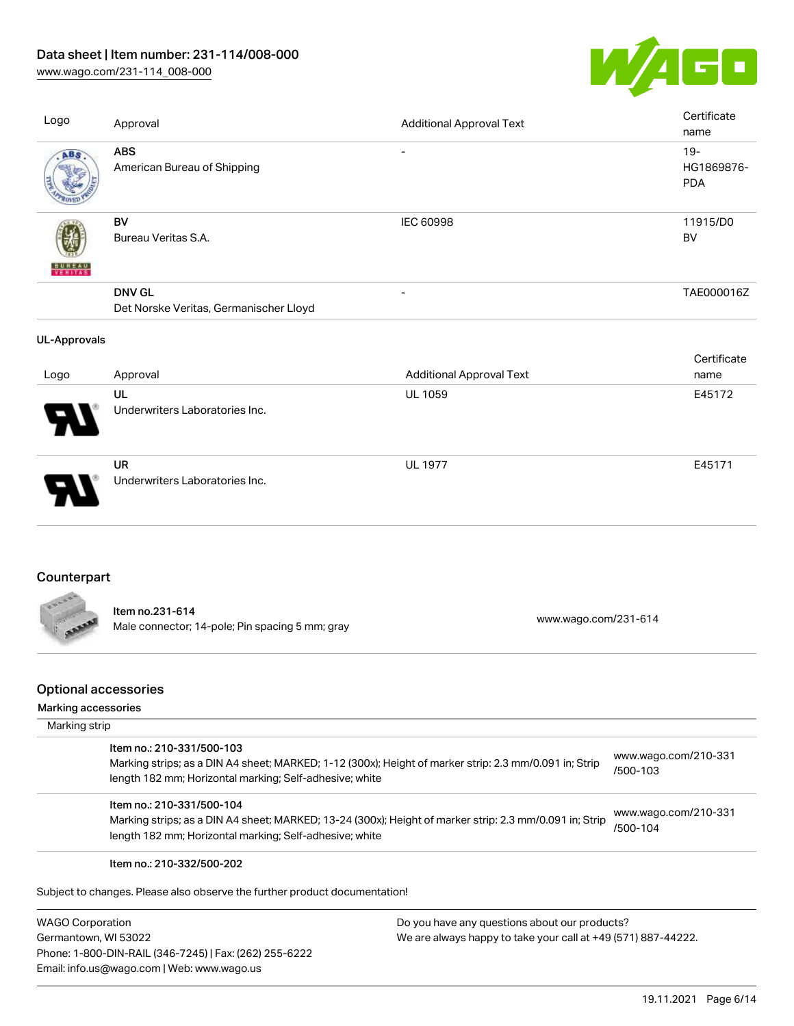# Data sheet | Item number: 231-114/008-000

[www.wago.com/231-114\\_008-000](http://www.wago.com/231-114_008-000)



| Logo                | Approval                                                | <b>Additional Approval Text</b> | Certificate<br>name                |
|---------------------|---------------------------------------------------------|---------------------------------|------------------------------------|
| ABS                 | <b>ABS</b><br>American Bureau of Shipping               | $\overline{\phantom{a}}$        | $19 -$<br>HG1869876-<br><b>PDA</b> |
| <b>BUREAU</b>       | <b>BV</b><br>Bureau Veritas S.A.                        | <b>IEC 60998</b>                | 11915/D0<br><b>BV</b>              |
|                     | <b>DNV GL</b><br>Det Norske Veritas, Germanischer Lloyd | $\overline{\phantom{a}}$        | TAE000016Z                         |
| <b>UL-Approvals</b> |                                                         |                                 |                                    |
| Logo                | Approval                                                | <b>Additional Approval Text</b> | Certificate<br>name                |
|                     | UL<br>Underwriters Laboratories Inc.                    | <b>UL 1059</b>                  | E45172                             |
|                     |                                                         | <b>UL 1977</b>                  | E45171                             |
|                     | <b>UR</b><br>Underwriters Laboratories Inc.             |                                 |                                    |

# **Counterpart**

l

| COOOR | ltem no.231-614<br>Male connector; 14-pole; Pin spacing 5 mm; gray | www.wago.com/231-614 |
|-------|--------------------------------------------------------------------|----------------------|
|       |                                                                    |                      |

### Optional accessories

# Marking accessories

| Marking strip             |                                                                                                                                                                    |                                  |
|---------------------------|--------------------------------------------------------------------------------------------------------------------------------------------------------------------|----------------------------------|
| Item no.: 210-331/500-103 | Marking strips; as a DIN A4 sheet; MARKED; 1-12 (300x); Height of marker strip: 2.3 mm/0.091 in; Strip<br>length 182 mm; Horizontal marking; Self-adhesive; white  | www.wago.com/210-331<br>/500-103 |
| Item no.: 210-331/500-104 | Marking strips; as a DIN A4 sheet; MARKED; 13-24 (300x); Height of marker strip: 2.3 mm/0.091 in; Strip<br>length 182 mm; Horizontal marking; Self-adhesive; white | www.wago.com/210-331<br>/500-104 |
| Item no.: 210-332/500-202 |                                                                                                                                                                    |                                  |
|                           | Subject to changes. Please also observe the further product documentation!                                                                                         |                                  |

| <b>WAGO Corporation</b>                                |
|--------------------------------------------------------|
| Germantown, WI 53022                                   |
| Phone: 1-800-DIN-RAIL (346-7245)   Fax: (262) 255-6222 |
| Email: info.us@wago.com   Web: www.wago.us             |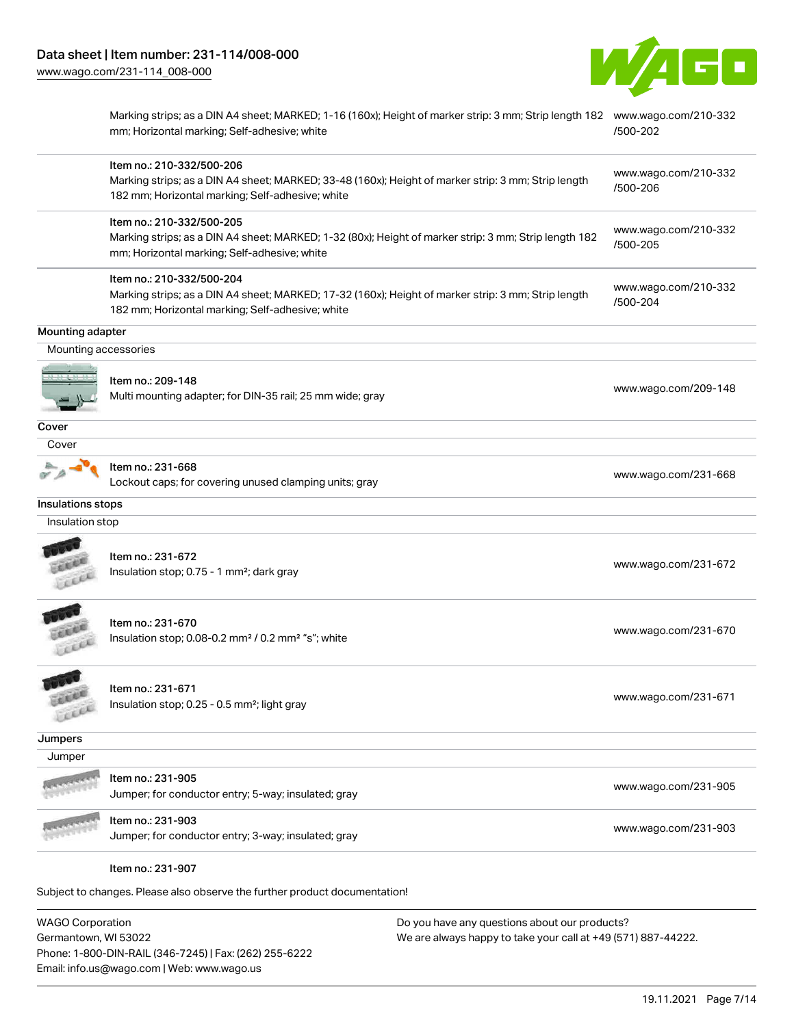

| Marking strips; as a DIN A4 sheet; MARKED; 1-16 (160x); Height of marker strip: 3 mm; Strip length 182 www.wago.com/210-332<br>mm; Horizontal marking; Self-adhesive; white<br>Item no.: 210-332/500-206<br>Marking strips; as a DIN A4 sheet; MARKED; 33-48 (160x); Height of marker strip: 3 mm; Strip length<br>182 mm; Horizontal marking; Self-adhesive; white<br>Item no.: 210-332/500-205<br>Marking strips; as a DIN A4 sheet; MARKED; 1-32 (80x); Height of marker strip: 3 mm; Strip length 182 | /500-202<br>www.wago.com/210-332<br>/500-206 |
|-----------------------------------------------------------------------------------------------------------------------------------------------------------------------------------------------------------------------------------------------------------------------------------------------------------------------------------------------------------------------------------------------------------------------------------------------------------------------------------------------------------|----------------------------------------------|
|                                                                                                                                                                                                                                                                                                                                                                                                                                                                                                           |                                              |
|                                                                                                                                                                                                                                                                                                                                                                                                                                                                                                           |                                              |
| mm; Horizontal marking; Self-adhesive; white                                                                                                                                                                                                                                                                                                                                                                                                                                                              | www.wago.com/210-332<br>/500-205             |
| Item no.: 210-332/500-204<br>Marking strips; as a DIN A4 sheet; MARKED; 17-32 (160x); Height of marker strip: 3 mm; Strip length<br>182 mm; Horizontal marking; Self-adhesive; white                                                                                                                                                                                                                                                                                                                      | www.wago.com/210-332<br>/500-204             |
|                                                                                                                                                                                                                                                                                                                                                                                                                                                                                                           |                                              |
| Mounting accessories                                                                                                                                                                                                                                                                                                                                                                                                                                                                                      |                                              |
| Item no.: 209-148<br>Multi mounting adapter; for DIN-35 rail; 25 mm wide; gray                                                                                                                                                                                                                                                                                                                                                                                                                            | www.wago.com/209-148                         |
|                                                                                                                                                                                                                                                                                                                                                                                                                                                                                                           |                                              |
|                                                                                                                                                                                                                                                                                                                                                                                                                                                                                                           |                                              |
| Item no.: 231-668<br>Lockout caps; for covering unused clamping units; gray                                                                                                                                                                                                                                                                                                                                                                                                                               | www.wago.com/231-668                         |
|                                                                                                                                                                                                                                                                                                                                                                                                                                                                                                           |                                              |
|                                                                                                                                                                                                                                                                                                                                                                                                                                                                                                           |                                              |
| Item no.: 231-672<br>Insulation stop; 0.75 - 1 mm <sup>2</sup> ; dark gray                                                                                                                                                                                                                                                                                                                                                                                                                                | www.wago.com/231-672                         |
| Item no.: 231-670<br>Insulation stop; 0.08-0.2 mm <sup>2</sup> / 0.2 mm <sup>2</sup> "s"; white                                                                                                                                                                                                                                                                                                                                                                                                           | www.wago.com/231-670                         |
| Item no.: 231-671<br>Insulation stop; 0.25 - 0.5 mm <sup>2</sup> ; light gray                                                                                                                                                                                                                                                                                                                                                                                                                             | www.wago.com/231-671                         |
|                                                                                                                                                                                                                                                                                                                                                                                                                                                                                                           |                                              |
|                                                                                                                                                                                                                                                                                                                                                                                                                                                                                                           |                                              |
| Item no.: 231-905<br>Jumper; for conductor entry; 5-way; insulated; gray                                                                                                                                                                                                                                                                                                                                                                                                                                  | www.wago.com/231-905                         |
| Item no.: 231-903<br>Jumper; for conductor entry; 3-way; insulated; gray                                                                                                                                                                                                                                                                                                                                                                                                                                  | www.wago.com/231-903                         |
|                                                                                                                                                                                                                                                                                                                                                                                                                                                                                                           | Item no.: 231-907                            |

WAGO Corporation Germantown, WI 53022 Phone: 1-800-DIN-RAIL (346-7245) | Fax: (262) 255-6222 Email: info.us@wago.com | Web: www.wago.us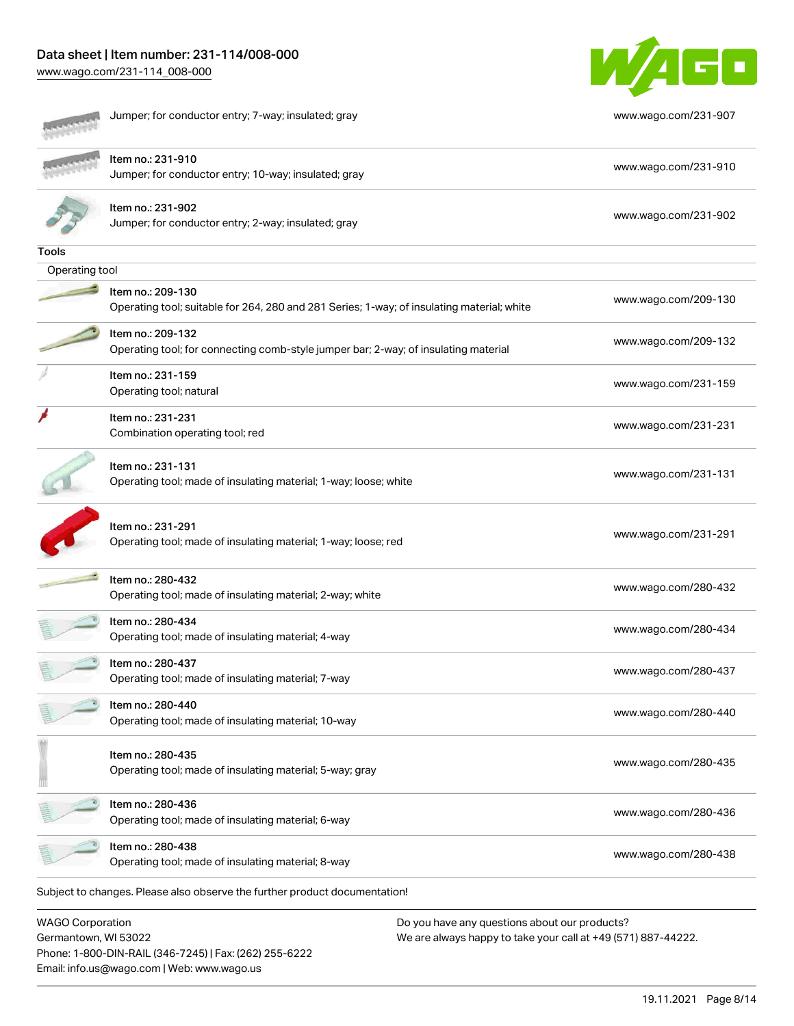# Data sheet | Item number: 231-114/008-000

[www.wago.com/231-114\\_008-000](http://www.wago.com/231-114_008-000)



|                | Operating tool; made of insulating material; 8-way<br>Subject to changes. Please also observe the further product documentation! | www.wago.com/280-438 |
|----------------|----------------------------------------------------------------------------------------------------------------------------------|----------------------|
|                | Operating tool; made of insulating material; 6-way<br>Item no.: 280-438                                                          | www.wago.com/280-436 |
|                | Item no.: 280-435<br>Operating tool; made of insulating material; 5-way; gray<br>Item no.: 280-436                               | www.wago.com/280-435 |
|                | Item no.: 280-440<br>Operating tool; made of insulating material; 10-way                                                         | www.wago.com/280-440 |
|                | Item no.: 280-437<br>Operating tool; made of insulating material; 7-way                                                          | www.wago.com/280-437 |
|                | Item no.: 280-434<br>Operating tool; made of insulating material; 4-way                                                          | www.wago.com/280-434 |
|                | Item no.: 280-432<br>Operating tool; made of insulating material; 2-way; white                                                   | www.wago.com/280-432 |
|                | Item no.: 231-291<br>Operating tool; made of insulating material; 1-way; loose; red                                              | www.wago.com/231-291 |
|                | Item no.: 231-131<br>Operating tool; made of insulating material; 1-way; loose; white                                            | www.wago.com/231-131 |
|                | Item no.: 231-231<br>Combination operating tool; red                                                                             | www.wago.com/231-231 |
|                | Item no.: 231-159<br>Operating tool; natural                                                                                     | www.wago.com/231-159 |
|                | Item no.: 209-132<br>Operating tool; for connecting comb-style jumper bar; 2-way; of insulating material                         | www.wago.com/209-132 |
|                | Item no.: 209-130<br>Operating tool; suitable for 264, 280 and 281 Series; 1-way; of insulating material; white                  | www.wago.com/209-130 |
| Operating tool |                                                                                                                                  |                      |
| Tools          |                                                                                                                                  |                      |
|                | Item no.: 231-902<br>Jumper; for conductor entry; 2-way; insulated; gray                                                         | www.wago.com/231-902 |
|                | ltem no.: 231-910<br>Jumper; for conductor entry; 10-way; insulated; gray                                                        | www.wago.com/231-910 |
|                | Jumper; for conductor entry; 7-way; insulated; gray                                                                              | www.wago.com/231-907 |

WAGO Corporation Germantown, WI 53022 Phone: 1-800-DIN-RAIL (346-7245) | Fax: (262) 255-6222 Email: info.us@wago.com | Web: www.wago.us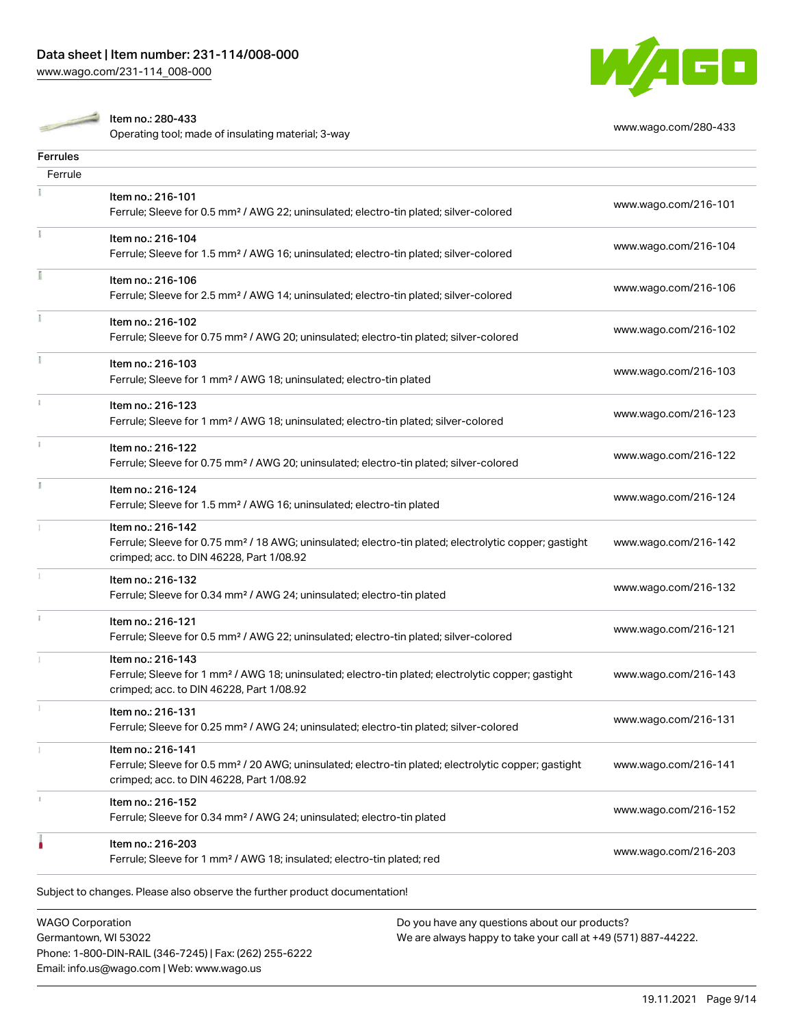

Item no.: 280-433

nem no... 260-433<br>Operating tool; made of insulating material; 3-way [www.wago.com/280-433](http://www.wago.com/280-433)

| <b>Ferrules</b> |                                                                                                                                                                                    |                      |
|-----------------|------------------------------------------------------------------------------------------------------------------------------------------------------------------------------------|----------------------|
| Ferrule         |                                                                                                                                                                                    |                      |
|                 | Item no.: 216-101<br>Ferrule; Sleeve for 0.5 mm <sup>2</sup> / AWG 22; uninsulated; electro-tin plated; silver-colored                                                             | www.wago.com/216-101 |
|                 | Item no.: 216-104<br>Ferrule; Sleeve for 1.5 mm <sup>2</sup> / AWG 16; uninsulated; electro-tin plated; silver-colored                                                             | www.wago.com/216-104 |
|                 | Item no.: 216-106<br>Ferrule; Sleeve for 2.5 mm <sup>2</sup> / AWG 14; uninsulated; electro-tin plated; silver-colored                                                             | www.wago.com/216-106 |
|                 | Item no.: 216-102<br>Ferrule; Sleeve for 0.75 mm <sup>2</sup> / AWG 20; uninsulated; electro-tin plated; silver-colored                                                            | www.wago.com/216-102 |
|                 | Item no.: 216-103<br>Ferrule; Sleeve for 1 mm <sup>2</sup> / AWG 18; uninsulated; electro-tin plated                                                                               | www.wago.com/216-103 |
|                 | Item no.: 216-123<br>Ferrule; Sleeve for 1 mm <sup>2</sup> / AWG 18; uninsulated; electro-tin plated; silver-colored                                                               | www.wago.com/216-123 |
|                 | Item no.: 216-122<br>Ferrule; Sleeve for 0.75 mm <sup>2</sup> / AWG 20; uninsulated; electro-tin plated; silver-colored                                                            | www.wago.com/216-122 |
| J.              | Item no.: 216-124<br>Ferrule; Sleeve for 1.5 mm <sup>2</sup> / AWG 16; uninsulated; electro-tin plated                                                                             | www.wago.com/216-124 |
|                 | Item no.: 216-142<br>Ferrule; Sleeve for 0.75 mm <sup>2</sup> / 18 AWG; uninsulated; electro-tin plated; electrolytic copper; gastight<br>crimped; acc. to DIN 46228, Part 1/08.92 | www.wago.com/216-142 |
|                 | Item no.: 216-132<br>Ferrule; Sleeve for 0.34 mm <sup>2</sup> / AWG 24; uninsulated; electro-tin plated                                                                            | www.wago.com/216-132 |
| ī.              | Item no.: 216-121<br>Ferrule; Sleeve for 0.5 mm <sup>2</sup> / AWG 22; uninsulated; electro-tin plated; silver-colored                                                             | www.wago.com/216-121 |
|                 | Item no.: 216-143<br>Ferrule; Sleeve for 1 mm <sup>2</sup> / AWG 18; uninsulated; electro-tin plated; electrolytic copper; gastight<br>crimped; acc. to DIN 46228, Part 1/08.92    | www.wago.com/216-143 |
|                 | Item no.: 216-131<br>Ferrule; Sleeve for 0.25 mm <sup>2</sup> / AWG 24; uninsulated; electro-tin plated; silver-colored                                                            | www.wago.com/216-131 |
| 1               | Item no.: 216-141<br>Ferrule; Sleeve for 0.5 mm <sup>2</sup> / 20 AWG; uninsulated; electro-tin plated; electrolytic copper; gastight<br>crimped; acc. to DIN 46228, Part 1/08.92  | www.wago.com/216-141 |
| s.              | Item no.: 216-152<br>Ferrule; Sleeve for 0.34 mm <sup>2</sup> / AWG 24; uninsulated; electro-tin plated                                                                            | www.wago.com/216-152 |
|                 | Item no.: 216-203<br>Ferrule; Sleeve for 1 mm <sup>2</sup> / AWG 18; insulated; electro-tin plated; red                                                                            | www.wago.com/216-203 |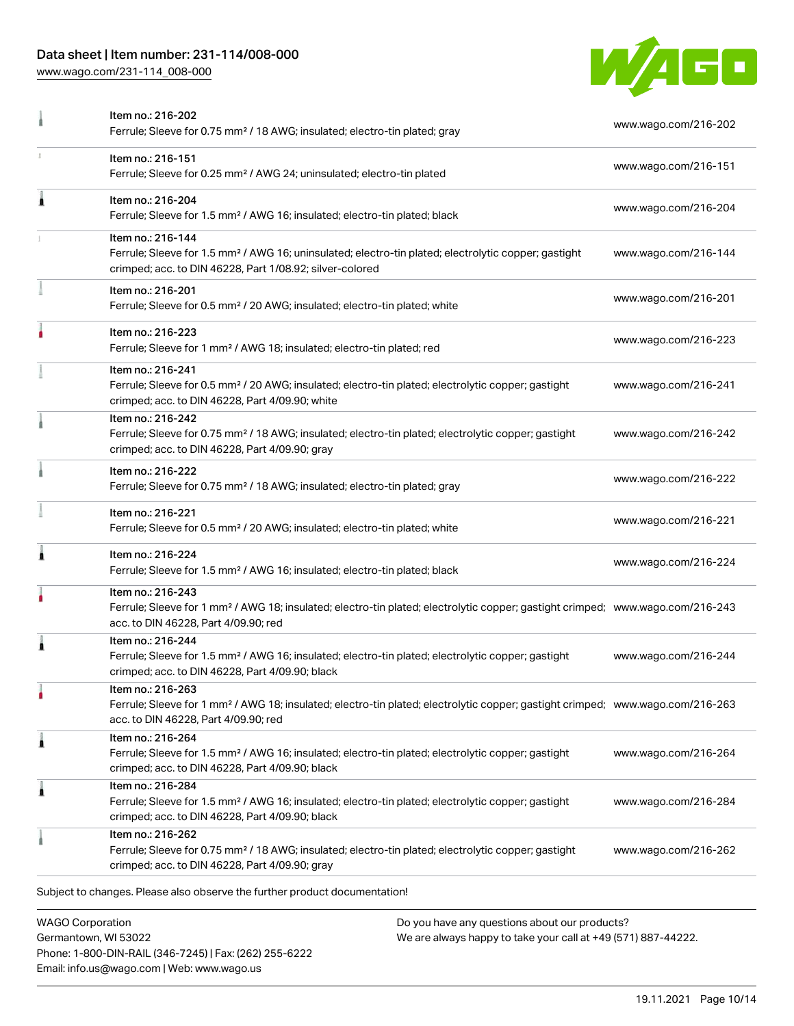### Data sheet | Item number: 231-114/008-000

[www.wago.com/231-114\\_008-000](http://www.wago.com/231-114_008-000)



|   | Item no.: 216-202<br>Ferrule; Sleeve for 0.75 mm <sup>2</sup> / 18 AWG; insulated; electro-tin plated; gray                                                                                             | www.wago.com/216-202 |
|---|---------------------------------------------------------------------------------------------------------------------------------------------------------------------------------------------------------|----------------------|
|   | Item no.: 216-151<br>Ferrule; Sleeve for 0.25 mm <sup>2</sup> / AWG 24; uninsulated; electro-tin plated                                                                                                 | www.wago.com/216-151 |
| Â | Item no.: 216-204<br>Ferrule; Sleeve for 1.5 mm <sup>2</sup> / AWG 16; insulated; electro-tin plated; black                                                                                             | www.wago.com/216-204 |
|   | Item no.: 216-144<br>Ferrule; Sleeve for 1.5 mm <sup>2</sup> / AWG 16; uninsulated; electro-tin plated; electrolytic copper; gastight<br>crimped; acc. to DIN 46228, Part 1/08.92; silver-colored       | www.wago.com/216-144 |
|   | Item no.: 216-201<br>Ferrule; Sleeve for 0.5 mm <sup>2</sup> / 20 AWG; insulated; electro-tin plated; white                                                                                             | www.wago.com/216-201 |
|   | Item no.: 216-223<br>Ferrule; Sleeve for 1 mm <sup>2</sup> / AWG 18; insulated; electro-tin plated; red                                                                                                 | www.wago.com/216-223 |
|   | Item no.: 216-241<br>Ferrule; Sleeve for 0.5 mm <sup>2</sup> / 20 AWG; insulated; electro-tin plated; electrolytic copper; gastight<br>crimped; acc. to DIN 46228, Part 4/09.90; white                  | www.wago.com/216-241 |
|   | Item no.: 216-242<br>Ferrule; Sleeve for 0.75 mm <sup>2</sup> / 18 AWG; insulated; electro-tin plated; electrolytic copper; gastight<br>crimped; acc. to DIN 46228, Part 4/09.90; gray                  | www.wago.com/216-242 |
|   | Item no.: 216-222<br>Ferrule; Sleeve for 0.75 mm <sup>2</sup> / 18 AWG; insulated; electro-tin plated; gray                                                                                             | www.wago.com/216-222 |
|   | Item no.: 216-221<br>Ferrule; Sleeve for 0.5 mm <sup>2</sup> / 20 AWG; insulated; electro-tin plated; white                                                                                             | www.wago.com/216-221 |
| 1 | Item no.: 216-224<br>Ferrule; Sleeve for 1.5 mm <sup>2</sup> / AWG 16; insulated; electro-tin plated; black                                                                                             | www.wago.com/216-224 |
|   | Item no.: 216-243<br>Ferrule; Sleeve for 1 mm <sup>2</sup> / AWG 18; insulated; electro-tin plated; electrolytic copper; gastight crimped; www.wago.com/216-243<br>acc. to DIN 46228, Part 4/09.90; red |                      |
| 1 | Item no.: 216-244<br>Ferrule; Sleeve for 1.5 mm <sup>2</sup> / AWG 16; insulated; electro-tin plated; electrolytic copper; gastight<br>crimped; acc. to DIN 46228, Part 4/09.90; black                  | www.wago.com/216-244 |
| ۰ | Item no.: 216-263<br>Ferrule; Sleeve for 1 mm <sup>2</sup> / AWG 18; insulated; electro-tin plated; electrolytic copper; gastight crimped; www.wago.com/216-263<br>acc. to DIN 46228, Part 4/09.90; red |                      |
| Â | Item no.: 216-264<br>Ferrule; Sleeve for 1.5 mm <sup>2</sup> / AWG 16; insulated; electro-tin plated; electrolytic copper; gastight<br>crimped; acc. to DIN 46228, Part 4/09.90; black                  | www.wago.com/216-264 |
| 1 | Item no.: 216-284<br>Ferrule; Sleeve for 1.5 mm <sup>2</sup> / AWG 16; insulated; electro-tin plated; electrolytic copper; gastight<br>crimped; acc. to DIN 46228, Part 4/09.90; black                  | www.wago.com/216-284 |
|   | Item no.: 216-262<br>Ferrule; Sleeve for 0.75 mm <sup>2</sup> / 18 AWG; insulated; electro-tin plated; electrolytic copper; gastight<br>crimped; acc. to DIN 46228, Part 4/09.90; gray                  | www.wago.com/216-262 |
|   | Subject to changes. Please also observe the further product documentation!                                                                                                                              |                      |
|   |                                                                                                                                                                                                         |                      |

WAGO Corporation Germantown, WI 53022 Phone: 1-800-DIN-RAIL (346-7245) | Fax: (262) 255-6222 Email: info.us@wago.com | Web: www.wago.us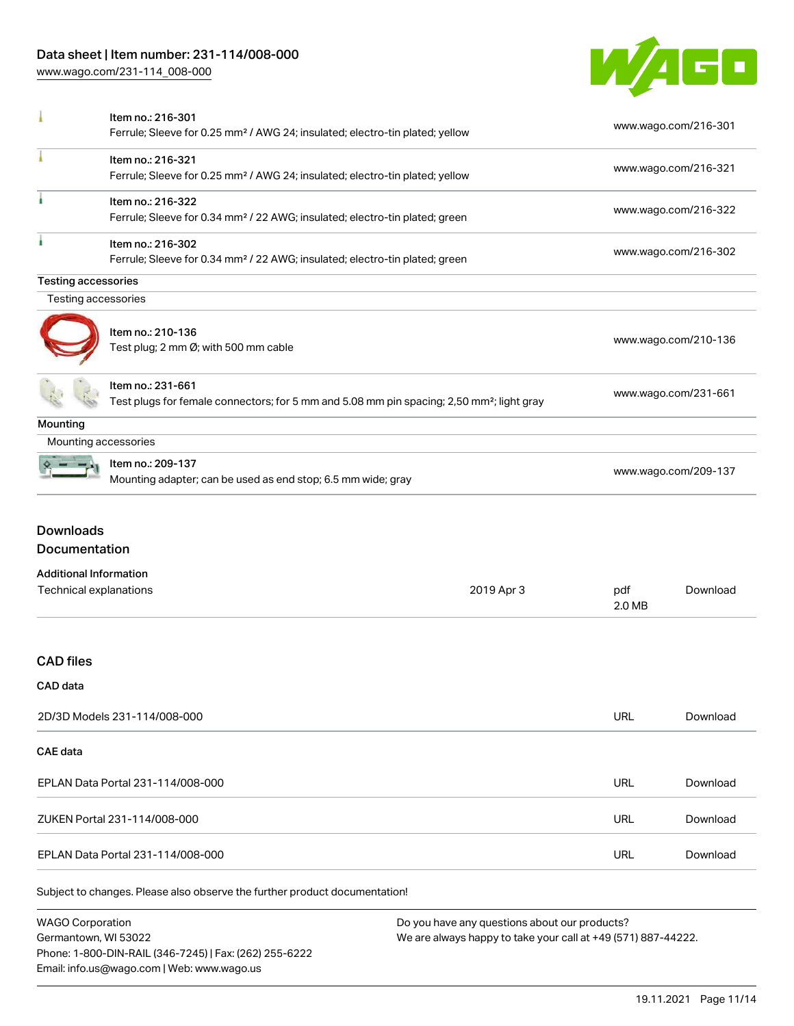Phone: 1-800-DIN-RAIL (346-7245) | Fax: (262) 255-6222

Email: info.us@wago.com | Web: www.wago.us

[www.wago.com/231-114\\_008-000](http://www.wago.com/231-114_008-000)



|                                                         | Item no.: 216-301<br>Ferrule; Sleeve for 0.25 mm <sup>2</sup> / AWG 24; insulated; electro-tin plated; yellow              |                                                                                                                |                      | www.wago.com/216-301 |  |
|---------------------------------------------------------|----------------------------------------------------------------------------------------------------------------------------|----------------------------------------------------------------------------------------------------------------|----------------------|----------------------|--|
|                                                         | Item no.: 216-321<br>Ferrule; Sleeve for 0.25 mm <sup>2</sup> / AWG 24; insulated; electro-tin plated; yellow              |                                                                                                                | www.wago.com/216-321 |                      |  |
|                                                         | Item no.: 216-322<br>Ferrule; Sleeve for 0.34 mm <sup>2</sup> / 22 AWG; insulated; electro-tin plated; green               |                                                                                                                | www.wago.com/216-322 |                      |  |
|                                                         | Item no.: 216-302<br>Ferrule; Sleeve for 0.34 mm <sup>2</sup> / 22 AWG; insulated; electro-tin plated; green               |                                                                                                                | www.wago.com/216-302 |                      |  |
| <b>Testing accessories</b>                              |                                                                                                                            |                                                                                                                |                      |                      |  |
| Testing accessories                                     |                                                                                                                            |                                                                                                                |                      |                      |  |
|                                                         | Item no.: 210-136<br>Test plug; 2 mm Ø; with 500 mm cable                                                                  |                                                                                                                | www.wago.com/210-136 |                      |  |
|                                                         | Item no.: 231-661<br>Test plugs for female connectors; for 5 mm and 5.08 mm pin spacing; 2,50 mm <sup>2</sup> ; light gray |                                                                                                                | www.wago.com/231-661 |                      |  |
| Mounting                                                |                                                                                                                            |                                                                                                                |                      |                      |  |
| Mounting accessories                                    |                                                                                                                            |                                                                                                                |                      |                      |  |
|                                                         | Item no.: 209-137<br>Mounting adapter; can be used as end stop; 6.5 mm wide; gray                                          |                                                                                                                | www.wago.com/209-137 |                      |  |
| <b>Downloads</b><br>Documentation                       |                                                                                                                            |                                                                                                                |                      |                      |  |
| <b>Additional Information</b><br>Technical explanations |                                                                                                                            | 2019 Apr 3                                                                                                     | pdf<br>2.0 MB        | Download             |  |
| <b>CAD files</b>                                        |                                                                                                                            |                                                                                                                |                      |                      |  |
| CAD data                                                |                                                                                                                            |                                                                                                                |                      |                      |  |
| 2D/3D Models 231-114/008-000                            |                                                                                                                            |                                                                                                                | URL                  | Download             |  |
| <b>CAE</b> data                                         |                                                                                                                            |                                                                                                                |                      |                      |  |
| EPLAN Data Portal 231-114/008-000                       |                                                                                                                            |                                                                                                                | URL                  | Download             |  |
| ZUKEN Portal 231-114/008-000                            |                                                                                                                            |                                                                                                                | <b>URL</b>           | Download             |  |
| EPLAN Data Portal 231-114/008-000                       |                                                                                                                            |                                                                                                                | URL                  | Download             |  |
|                                                         | Subject to changes. Please also observe the further product documentation!                                                 |                                                                                                                |                      |                      |  |
| <b>WAGO Corporation</b><br>Germantown, WI 53022         |                                                                                                                            | Do you have any questions about our products?<br>We are always happy to take your call at +49 (571) 887-44222. |                      |                      |  |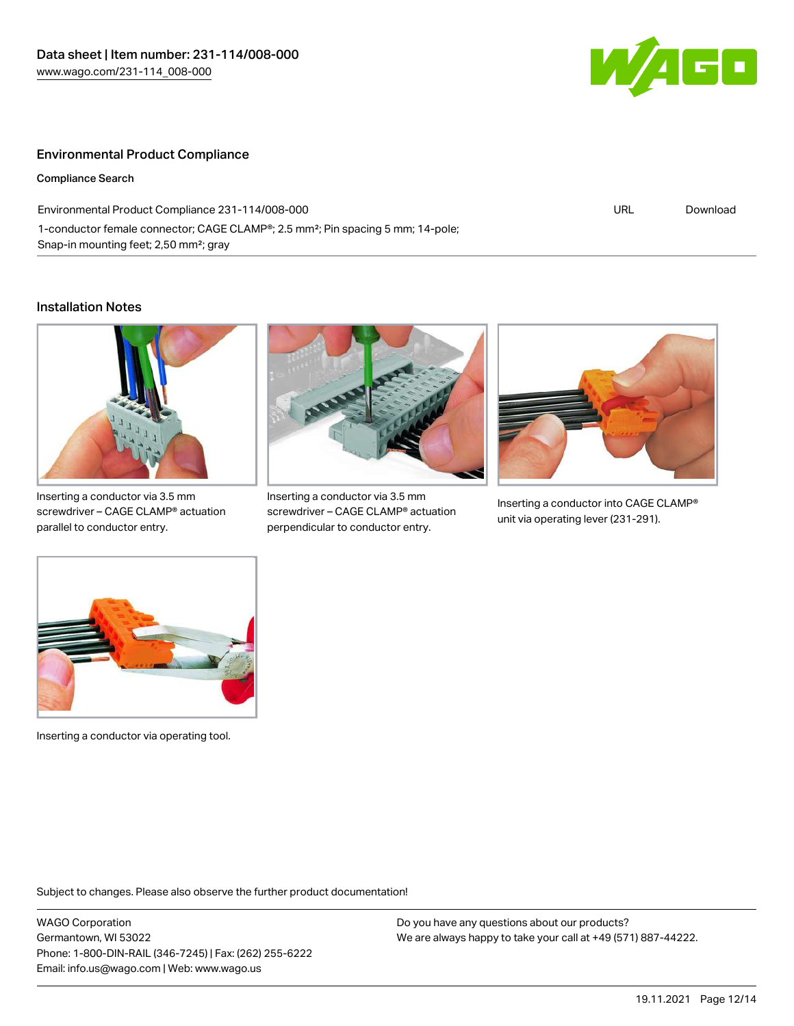

#### Environmental Product Compliance

Compliance Search

Environmental Product Compliance 231-114/008-000 1-conductor female connector; CAGE CLAMP®; 2.5 mm²; Pin spacing 5 mm; 14-pole; Snap-in mounting feet; 2,50 mm²; gray

URL [Download](https://www.wago.com/global/d/ComplianceLinkMediaContainer_231-114_008-000)

#### Installation Notes



Inserting a conductor via 3.5 mm screwdriver – CAGE CLAMP® actuation parallel to conductor entry.



Inserting a conductor via 3.5 mm screwdriver – CAGE CLAMP® actuation perpendicular to conductor entry.



Inserting a conductor into CAGE CLAMP® unit via operating lever (231-291).



Inserting a conductor via operating tool.

Subject to changes. Please also observe the further product documentation!

WAGO Corporation Germantown, WI 53022 Phone: 1-800-DIN-RAIL (346-7245) | Fax: (262) 255-6222 Email: info.us@wago.com | Web: www.wago.us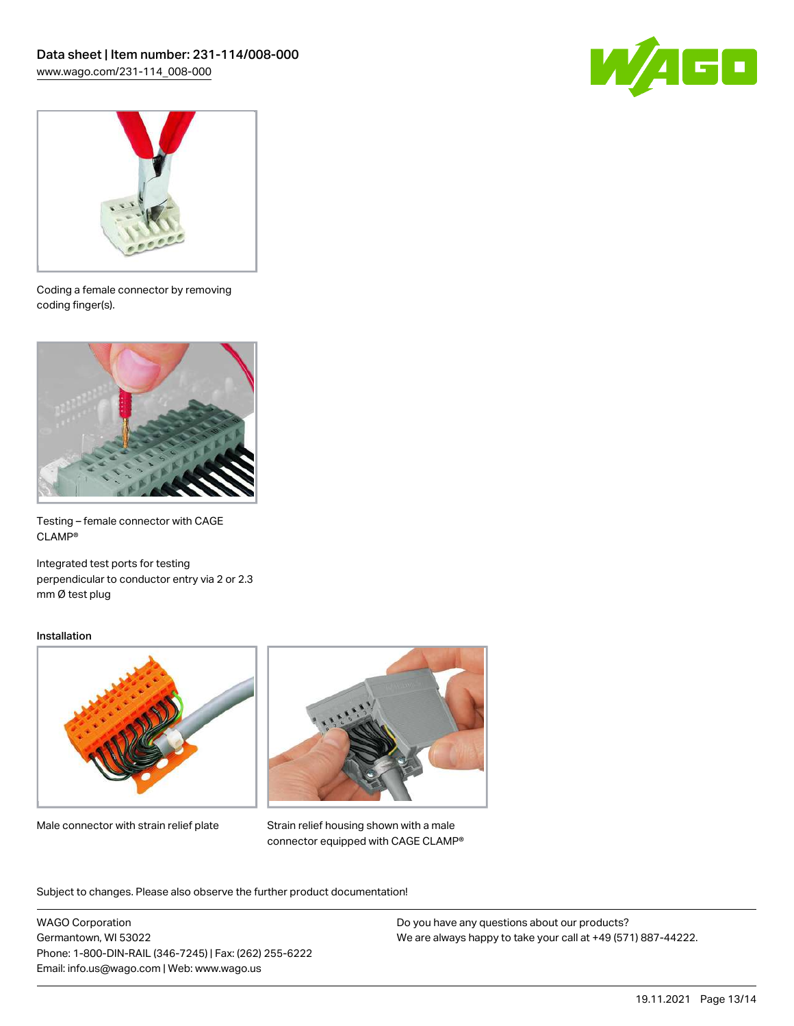



Coding a female connector by removing coding finger(s).



Testing – female connector with CAGE CLAMP®

Integrated test ports for testing perpendicular to conductor entry via 2 or 2.3 mm Ø test plug

#### Installation



Male connector with strain relief plate



Strain relief housing shown with a male connector equipped with CAGE CLAMP®

Subject to changes. Please also observe the further product documentation!

WAGO Corporation Germantown, WI 53022 Phone: 1-800-DIN-RAIL (346-7245) | Fax: (262) 255-6222 Email: info.us@wago.com | Web: www.wago.us